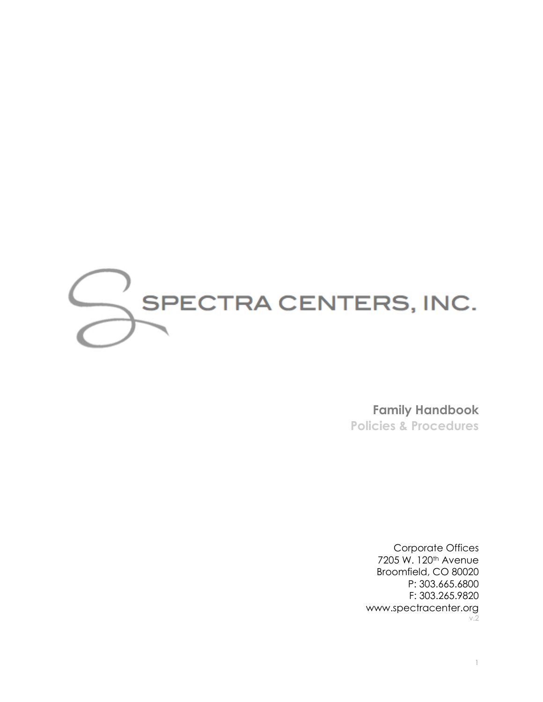

**Family Handbook Policies & Procedures**

> Corporate Offices 7205 W. 120th Avenue Broomfield, CO 80020 P: 303.665.6800 F: 303.265.9820 [www.spectracenter.org](http://www.spectracenter.org/) v.2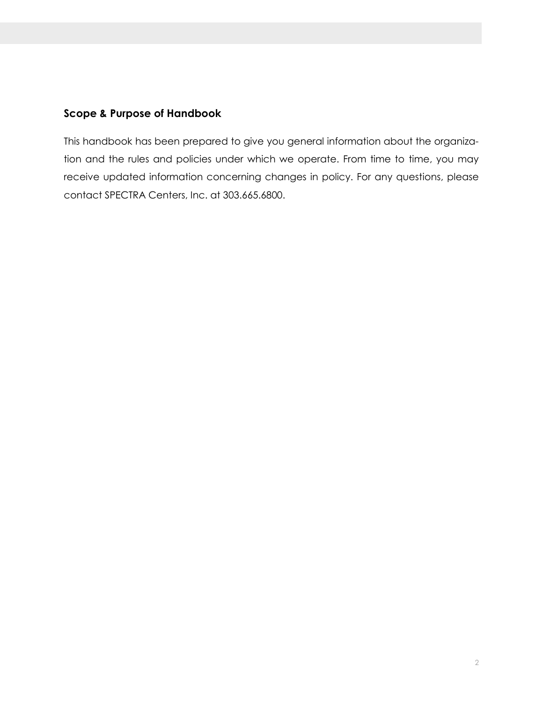# **Scope & Purpose of Handbook**

This handbook has been prepared to give you general information about the organization and the rules and policies under which we operate. From time to time, you may receive updated information concerning changes in policy. For any questions, please contact SPECTRA Centers, Inc. at 303.665.6800.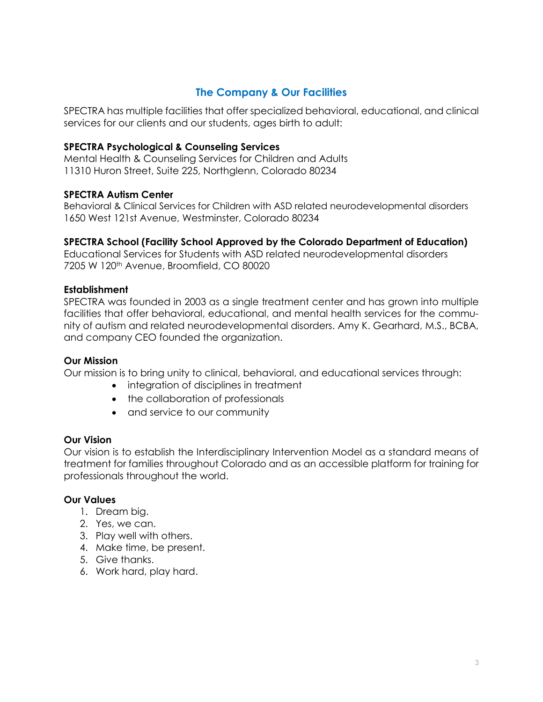# **The Company & Our Facilities**

SPECTRA has multiple facilities that offer specialized behavioral, educational, and clinical services for our clients and our students, ages birth to adult:

### **SPECTRA Psychological & Counseling Services**

Mental Health & Counseling Services for Children and Adults 11310 Huron Street, Suite 225, Northglenn, Colorado 80234

### **SPECTRA Autism Center**

Behavioral & Clinical Services for Children with ASD related neurodevelopmental disorders 1650 West 121st Avenue, Westminster, Colorado 80234

### **SPECTRA School (Facility School Approved by the Colorado Department of Education)**

Educational Services for Students with ASD related neurodevelopmental disorders 7205 W 120th Avenue, Broomfield, CO 80020

### **Establishment**

SPECTRA was founded in 2003 as a single treatment center and has grown into multiple facilities that offer behavioral, educational, and mental health services for the community of autism and related neurodevelopmental disorders. Amy K. Gearhard, M.S., BCBA, and company CEO founded the organization.

### **Our Mission**

Our mission is to bring unity to clinical, behavioral, and educational services through:

- integration of disciplines in treatment
- the collaboration of professionals
- and service to our community

### **Our Vision**

Our vision is to establish the Interdisciplinary Intervention Model as a standard means of treatment for families throughout Colorado and as an accessible platform for training for professionals throughout the world.

### **Our Values**

- 1. Dream big.
- 2. Yes, we can.
- 3. Play well with others.
- 4. Make time, be present.
- 5. Give thanks.
- 6. Work hard, play hard.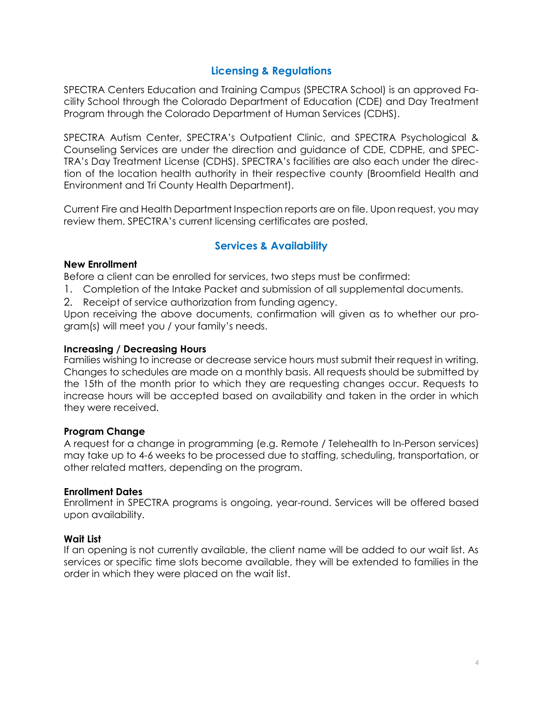# **Licensing & Regulations**

SPECTRA Centers Education and Training Campus (SPECTRA School) is an approved Facility School through the Colorado Department of Education (CDE) and Day Treatment Program through the Colorado Department of Human Services (CDHS).

SPECTRA Autism Center, SPECTRA's Outpatient Clinic, and SPECTRA Psychological & Counseling Services are under the direction and guidance of CDE, CDPHE, and SPEC-TRA's Day Treatment License (CDHS). SPECTRA's facilities are also each under the direction of the location health authority in their respective county (Broomfield Health and Environment and Tri County Health Department).

Current Fire and Health Department Inspection reports are on file. Upon request, you may review them. SPECTRA's current licensing certificates are posted.

# **Services & Availability**

### **New Enrollment**

Before a client can be enrolled for services, two steps must be confirmed:

- 1. Completion of the Intake Packet and submission of all supplemental documents.
- 2. Receipt of service authorization from funding agency.

Upon receiving the above documents, confirmation will given as to whether our program(s) will meet you / your family's needs.

### **Increasing / Decreasing Hours**

Families wishing to increase or decrease service hours must submit their request in writing. Changes to schedules are made on a monthly basis. All requests should be submitted by the 15th of the month prior to which they are requesting changes occur. Requests to increase hours will be accepted based on availability and taken in the order in which they were received.

### **Program Change**

A request for a change in programming (e.g. Remote / Telehealth to In-Person services) may take up to 4-6 weeks to be processed due to staffing, scheduling, transportation, or other related matters, depending on the program.

### **Enrollment Dates**

Enrollment in SPECTRA programs is ongoing, year-round. Services will be offered based upon availability.

### **Wait List**

If an opening is not currently available, the client name will be added to our wait list. As services or specific time slots become available, they will be extended to families in the order in which they were placed on the wait list.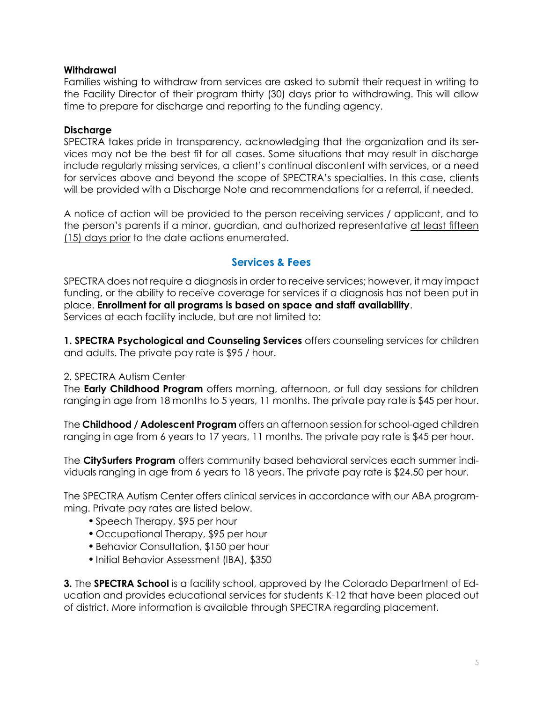### **Withdrawal**

Families wishing to withdraw from services are asked to submit their request in writing to the Facility Director of their program thirty (30) days prior to withdrawing. This will allow time to prepare for discharge and reporting to the funding agency.

### **Discharge**

SPECTRA takes pride in transparency, acknowledging that the organization and its services may not be the best fit for all cases. Some situations that may result in discharge include regularly missing services, a client's continual discontent with services, or a need for services above and beyond the scope of SPECTRA's specialties. In this case, clients will be provided with a Discharge Note and recommendations for a referral, if needed.

A notice of action will be provided to the person receiving services / applicant, and to the person's parents if a minor, guardian, and authorized representative at least fifteen (15) days prior to the date actions enumerated.

# **Services & Fees**

SPECTRA does not require a diagnosis in order to receive services; however, it may impact funding, or the ability to receive coverage for services if a diagnosis has not been put in place. **Enrollment for all programs is based on space and staff availability**. Services at each facility include, but are not limited to:

**1. SPECTRA Psychological and Counseling Services** offers counseling services for children and adults. The private pay rate is \$95 / hour.

### 2. SPECTRA Autism Center

The **Early Childhood Program** offers morning, afternoon, or full day sessions for children ranging in age from 18 months to 5 years, 11 months. The private pay rate is \$45 per hour.

The **Childhood / Adolescent Program** offers an afternoon session for school-aged children ranging in age from 6 years to 17 years, 11 months. The private pay rate is \$45 per hour.

The **CitySurfers Program** offers community based behavioral services each summer individuals ranging in age from 6 years to 18 years. The private pay rate is \$24.50 per hour.

The SPECTRA Autism Center offers clinical services in accordance with our ABA programming. Private pay rates are listed below.

- •Speech Therapy, \$95 per hour
- Occupational Therapy, \$95 per hour
- •Behavior Consultation, \$150 per hour
- Initial Behavior Assessment (IBA), \$350

**3.** The **SPECTRA School** is a facility school, approved by the Colorado Department of Education and provides educational services for students K-12 that have been placed out of district. More information is available through SPECTRA regarding placement.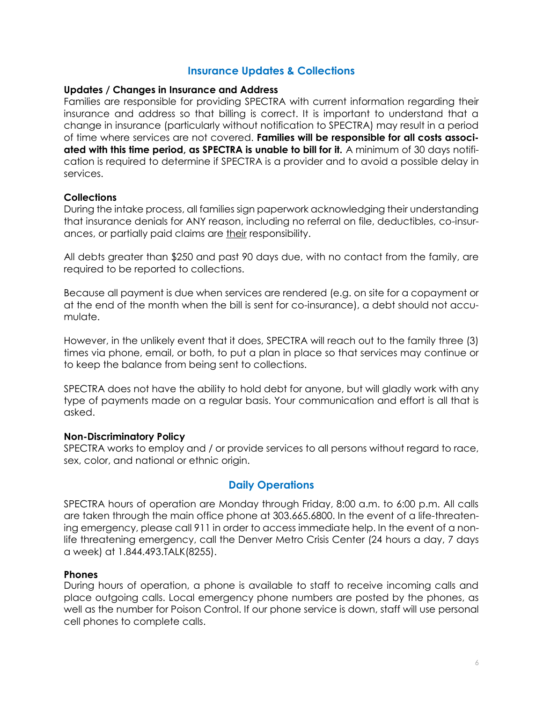### **Insurance Updates & Collections**

#### **Updates / Changes in Insurance and Address**

Families are responsible for providing SPECTRA with current information regarding their insurance and address so that billing is correct. It is important to understand that a change in insurance (particularly without notification to SPECTRA) may result in a period of time where services are not covered. **Families will be responsible for all costs associated with this time period, as SPECTRA is unable to bill for it.** A minimum of 30 days notification is required to determine if SPECTRA is a provider and to avoid a possible delay in services.

### **Collections**

During the intake process, all families sign paperwork acknowledging their understanding that insurance denials for ANY reason, including no referral on file, deductibles, co-insurances, or partially paid claims are their responsibility.

All debts greater than \$250 and past 90 days due, with no contact from the family, are required to be reported to collections.

Because all payment is due when services are rendered (e.g. on site for a copayment or at the end of the month when the bill is sent for co-insurance), a debt should not accumulate.

However, in the unlikely event that it does, SPECTRA will reach out to the family three (3) times via phone, email, or both, to put a plan in place so that services may continue or to keep the balance from being sent to collections.

SPECTRA does not have the ability to hold debt for anyone, but will gladly work with any type of payments made on a regular basis. Your communication and effort is all that is asked.

#### **Non-Discriminatory Policy**

SPECTRA works to employ and / or provide services to all persons without regard to race, sex, color, and national or ethnic origin.

## **Daily Operations**

SPECTRA hours of operation are Monday through Friday, 8:00 a.m. to 6:00 p.m. All calls are taken through the main office phone at 303.665.6800. In the event of a life-threatening emergency, please call 911 in order to access immediate help. In the event of a nonlife threatening emergency, call the Denver Metro Crisis Center (24 hours a day, 7 days a week) at 1.844.493.TALK(8255).

#### **Phones**

During hours of operation, a phone is available to staff to receive incoming calls and place outgoing calls. Local emergency phone numbers are posted by the phones, as well as the number for Poison Control. If our phone service is down, staff will use personal cell phones to complete calls.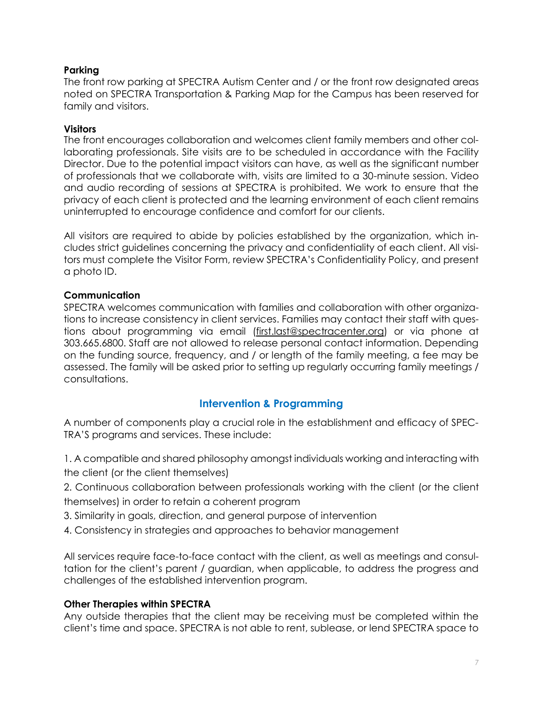### **Parking**

The front row parking at SPECTRA Autism Center and / or the front row designated areas noted on SPECTRA Transportation & Parking Map for the Campus has been reserved for family and visitors.

### **Visitors**

The front encourages collaboration and welcomes client family members and other collaborating professionals. Site visits are to be scheduled in accordance with the Facility Director. Due to the potential impact visitors can have, as well as the significant number of professionals that we collaborate with, visits are limited to a 30-minute session. Video and audio recording of sessions at SPECTRA is prohibited. We work to ensure that the privacy of each client is protected and the learning environment of each client remains uninterrupted to encourage confidence and comfort for our clients.

All visitors are required to abide by policies established by the organization, which includes strict guidelines concerning the privacy and confidentiality of each client. All visitors must complete the Visitor Form, review SPECTRA's Confidentiality Policy, and present a photo ID.

### **Communication**

SPECTRA welcomes communication with families and collaboration with other organizations to increase consistency in client services. Families may contact their staff with questions about programming via email [\(first.last@spectracenter.org\)](mailto:first.last@spectracenter.org) or via phone at 303.665.6800. Staff are not allowed to release personal contact information. Depending on the funding source, frequency, and / or length of the family meeting, a fee may be assessed. The family will be asked prior to setting up regularly occurring family meetings / consultations.

## **Intervention & Programming**

A number of components play a crucial role in the establishment and efficacy of SPEC-TRA'S programs and services. These include:

1. A compatible and shared philosophy amongst individuals working and interacting with the client (or the client themselves)

2. Continuous collaboration between professionals working with the client (or the client themselves) in order to retain a coherent program

3. Similarity in goals, direction, and general purpose of intervention

4. Consistency in strategies and approaches to behavior management

All services require face-to-face contact with the client, as well as meetings and consultation for the client's parent / guardian, when applicable, to address the progress and challenges of the established intervention program.

### **Other Therapies within SPECTRA**

Any outside therapies that the client may be receiving must be completed within the client's time and space. SPECTRA is not able to rent, sublease, or lend SPECTRA space to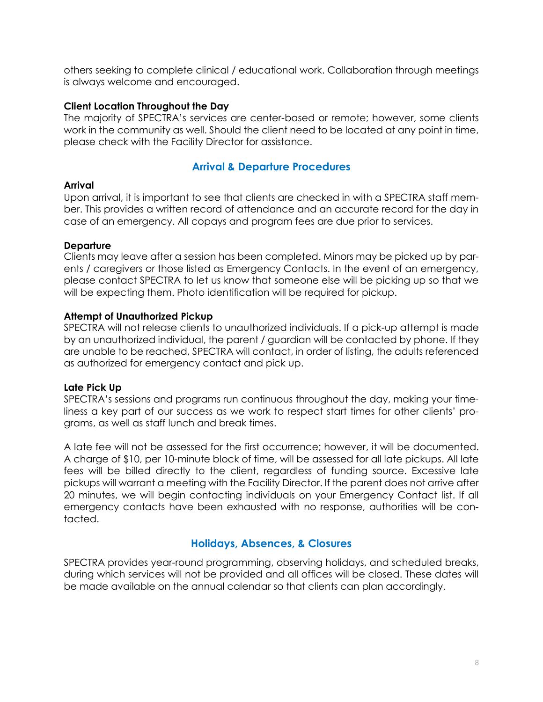others seeking to complete clinical / educational work. Collaboration through meetings is always welcome and encouraged.

### **Client Location Throughout the Day**

The majority of SPECTRA's services are center-based or remote; however, some clients work in the community as well. Should the client need to be located at any point in time, please check with the Facility Director for assistance.

# **Arrival & Departure Procedures**

### **Arrival**

Upon arrival, it is important to see that clients are checked in with a SPECTRA staff member. This provides a written record of attendance and an accurate record for the day in case of an emergency. All copays and program fees are due prior to services.

### **Departure**

Clients may leave after a session has been completed. Minors may be picked up by parents / caregivers or those listed as Emergency Contacts. In the event of an emergency, please contact SPECTRA to let us know that someone else will be picking up so that we will be expecting them. Photo identification will be required for pickup.

### **Attempt of Unauthorized Pickup**

SPECTRA will not release clients to unauthorized individuals. If a pick-up attempt is made by an unauthorized individual, the parent / guardian will be contacted by phone. If they are unable to be reached, SPECTRA will contact, in order of listing, the adults referenced as authorized for emergency contact and pick up.

## **Late Pick Up**

SPECTRA's sessions and programs run continuous throughout the day, making your timeliness a key part of our success as we work to respect start times for other clients' programs, as well as staff lunch and break times.

A late fee will not be assessed for the first occurrence; however, it will be documented. A charge of \$10, per 10-minute block of time, will be assessed for all late pickups. All late fees will be billed directly to the client, regardless of funding source. Excessive late pickups will warrant a meeting with the Facility Director. If the parent does not arrive after 20 minutes, we will begin contacting individuals on your Emergency Contact list. If all emergency contacts have been exhausted with no response, authorities will be contacted.

## **Holidays, Absences, & Closures**

SPECTRA provides year-round programming, observing holidays, and scheduled breaks, during which services will not be provided and all offices will be closed. These dates will be made available on the annual calendar so that clients can plan accordingly.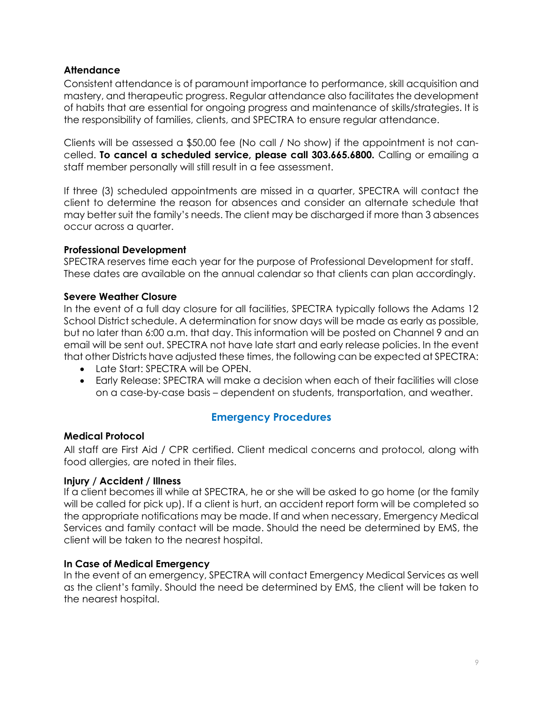## **Attendance**

Consistent attendance is of paramount importance to performance, skill acquisition and mastery, and therapeutic progress. Regular attendance also facilitates the development of habits that are essential for ongoing progress and maintenance of skills/strategies. It is the responsibility of families, clients, and SPECTRA to ensure regular attendance.

Clients will be assessed a \$50.00 fee (No call / No show) if the appointment is not cancelled. **To cancel a scheduled service, please call 303.665.6800.** Calling or emailing a staff member personally will still result in a fee assessment.

If three (3) scheduled appointments are missed in a quarter, SPECTRA will contact the client to determine the reason for absences and consider an alternate schedule that may better suit the family's needs. The client may be discharged if more than 3 absences occur across a quarter.

### **Professional Development**

SPECTRA reserves time each year for the purpose of Professional Development for staff. These dates are available on the annual calendar so that clients can plan accordingly.

#### **Severe Weather Closure**

In the event of a full day closure for all facilities, SPECTRA typically follows the Adams 12 School District schedule. A determination for snow days will be made as early as possible, but no later than 6:00 a.m. that day. This information will be posted on Channel 9 and an email will be sent out. SPECTRA not have late start and early release policies. In the event that other Districts have adjusted these times, the following can be expected at SPECTRA:

- Late Start: SPECTRA will be OPEN.
- Early Release: SPECTRA will make a decision when each of their facilities will close on a case-by-case basis – dependent on students, transportation, and weather.

## **Emergency Procedures**

### **Medical Protocol**

All staff are First Aid / CPR certified. Client medical concerns and protocol, along with food allergies, are noted in their files.

#### **Injury / Accident / Illness**

If a client becomes ill while at SPECTRA, he or she will be asked to go home (or the family will be called for pick up). If a client is hurt, an accident report form will be completed so the appropriate notifications may be made. If and when necessary, Emergency Medical Services and family contact will be made. Should the need be determined by EMS, the client will be taken to the nearest hospital.

#### **In Case of Medical Emergency**

In the event of an emergency, SPECTRA will contact Emergency Medical Services as well as the client's family. Should the need be determined by EMS, the client will be taken to the nearest hospital.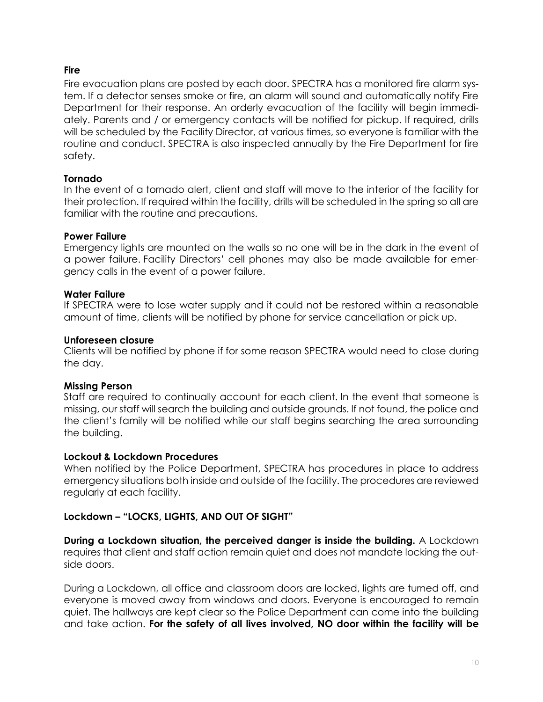## **Fire**

Fire evacuation plans are posted by each door. SPECTRA has a monitored fire alarm system. If a detector senses smoke or fire, an alarm will sound and automatically notify Fire Department for their response. An orderly evacuation of the facility will begin immediately. Parents and / or emergency contacts will be notified for pickup. If required, drills will be scheduled by the Facility Director, at various times, so everyone is familiar with the routine and conduct. SPECTRA is also inspected annually by the Fire Department for fire safety.

### **Tornado**

In the event of a tornado alert, client and staff will move to the interior of the facility for their protection. If required within the facility, drills will be scheduled in the spring so all are familiar with the routine and precautions.

### **Power Failure**

Emergency lights are mounted on the walls so no one will be in the dark in the event of a power failure. Facility Directors' cell phones may also be made available for emergency calls in the event of a power failure.

### **Water Failure**

If SPECTRA were to lose water supply and it could not be restored within a reasonable amount of time, clients will be notified by phone for service cancellation or pick up.

### **Unforeseen closure**

Clients will be notified by phone if for some reason SPECTRA would need to close during the day.

### **Missing Person**

Staff are required to continually account for each client. In the event that someone is missing, our staff will search the building and outside grounds. If not found, the police and the client's family will be notified while our staff begins searching the area surrounding the building.

### **Lockout & Lockdown Procedures**

When notified by the Police Department, SPECTRA has procedures in place to address emergency situations both inside and outside of the facility. The procedures are reviewed regularly at each facility.

## **Lockdown – "LOCKS, LIGHTS, AND OUT OF SIGHT"**

**During a Lockdown situation, the perceived danger is inside the building.** A Lockdown requires that client and staff action remain quiet and does not mandate locking the outside doors.

During a Lockdown, all office and classroom doors are locked, lights are turned off, and everyone is moved away from windows and doors. Everyone is encouraged to remain quiet. The hallways are kept clear so the Police Department can come into the building and take action. **For the safety of all lives involved, NO door within the facility will be**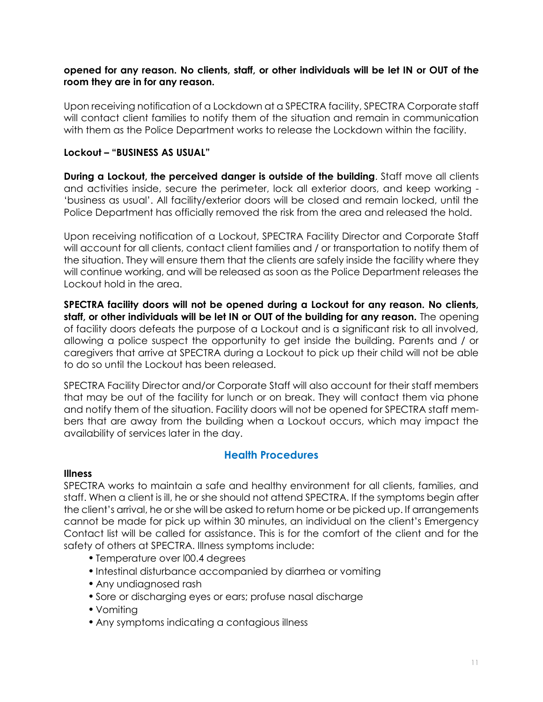### **opened for any reason. No clients, staff, or other individuals will be let IN or OUT of the room they are in for any reason.**

Upon receiving notification of a Lockdown at a SPECTRA facility, SPECTRA Corporate staff will contact client families to notify them of the situation and remain in communication with them as the Police Department works to release the Lockdown within the facility.

### **Lockout – "BUSINESS AS USUAL"**

**During a Lockout, the perceived danger is outside of the building**. Staff move all clients and activities inside, secure the perimeter, lock all exterior doors, and keep working - 'business as usual'. All facility/exterior doors will be closed and remain locked, until the Police Department has officially removed the risk from the area and released the hold.

Upon receiving notification of a Lockout, SPECTRA Facility Director and Corporate Staff will account for all clients, contact client families and / or transportation to notify them of the situation. They will ensure them that the clients are safely inside the facility where they will continue working, and will be released as soon as the Police Department releases the Lockout hold in the area.

**SPECTRA facility doors will not be opened during a Lockout for any reason. No clients, staff, or other individuals will be let IN or OUT of the building for any reason.** The opening of facility doors defeats the purpose of a Lockout and is a significant risk to all involved, allowing a police suspect the opportunity to get inside the building. Parents and / or caregivers that arrive at SPECTRA during a Lockout to pick up their child will not be able to do so until the Lockout has been released.

SPECTRA Facility Director and/or Corporate Staff will also account for their staff members that may be out of the facility for lunch or on break. They will contact them via phone and notify them of the situation. Facility doors will not be opened for SPECTRA staff members that are away from the building when a Lockout occurs, which may impact the availability of services later in the day.

## **Health Procedures**

### **Illness**

SPECTRA works to maintain a safe and healthy environment for all clients, families, and staff. When a client is ill, he or she should not attend SPECTRA. If the symptoms begin after the client's arrival, he or she will be asked to return home or be picked up. If arrangements cannot be made for pick up within 30 minutes, an individual on the client's Emergency Contact list will be called for assistance. This is for the comfort of the client and for the safety of others at SPECTRA. Illness symptoms include:

- •Temperature over l00.4 degrees
- •Intestinal disturbance accompanied by diarrhea or vomiting
- Any undiagnosed rash
- •Sore or discharging eyes or ears; profuse nasal discharge
- Vomiting
- Any symptoms indicating a contagious illness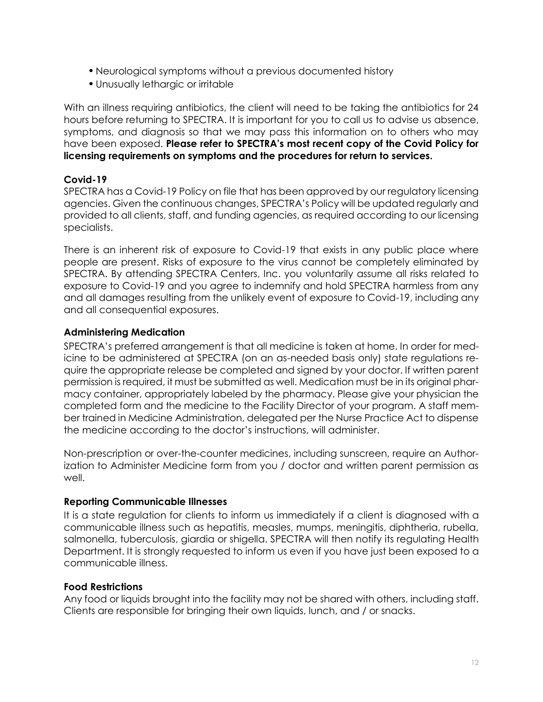- Neurological symptoms without a previous documented history
- •Unusually lethargic or irritable

With an illness requiring antibiotics, the client will need to be taking the antibiotics for 24 hours before returning to SPECTRA. It is important for you to call us to advise us absence, symptoms, and diagnosis so that we may pass this information on to others who may have been exposed. **Please refer to SPECTRA's most recent copy of the Covid Policy for licensing requirements on symptoms and the procedures for return to services.** 

### **Covid-19**

SPECTRA has a Covid-19 Policy on file that has been approved by our regulatory licensing agencies. Given the continuous changes, SPECTRA's Policy will be updated regularly and provided to all clients, staff, and funding agencies, as required according to our licensing specialists.

There is an inherent risk of exposure to Covid-19 that exists in any public place where people are present. Risks of exposure to the virus cannot be completely eliminated by SPECTRA. By attending SPECTRA Centers, Inc. you voluntarily assume all risks related to exposure to Covid-19 and you agree to indemnify and hold SPECTRA harmless from any and all damages resulting from the unlikely event of exposure to Covid-19, including any and all consequential exposures.

### **Administering Medication**

SPECTRA's preferred arrangement is that all medicine is taken at home. In order for medicine to be administered at SPECTRA (on an as-needed basis only) state regulations require the appropriate release be completed and signed by your doctor. If written parent permission is required, it must be submitted as well. Medication must be in its original pharmacy container, appropriately labeled by the pharmacy. Please give your physician the completed form and the medicine to the Facility Director of your program. A staff member trained in Medicine Administration, delegated per the Nurse Practice Act to dispense the medicine according to the doctor's instructions, will administer.

Non-prescription or over-the-counter medicines, including sunscreen, require an Authorization to Administer Medicine form from you / doctor and written parent permission as well.

### **Reporting Communicable Illnesses**

It is a state regulation for clients to inform us immediately if a client is diagnosed with a communicable illness such as hepatitis, measles, mumps, meningitis, diphtheria, rubella, salmonella, tuberculosis, giardia or shigella. SPECTRA will then notify its regulating Health Department. It is strongly requested to inform us even if you have just been exposed to a communicable illness.

### **Food Restrictions**

Any food or liquids brought into the facility may not be shared with others, including staff. Clients are responsible for bringing their own liquids, lunch, and / or snacks.